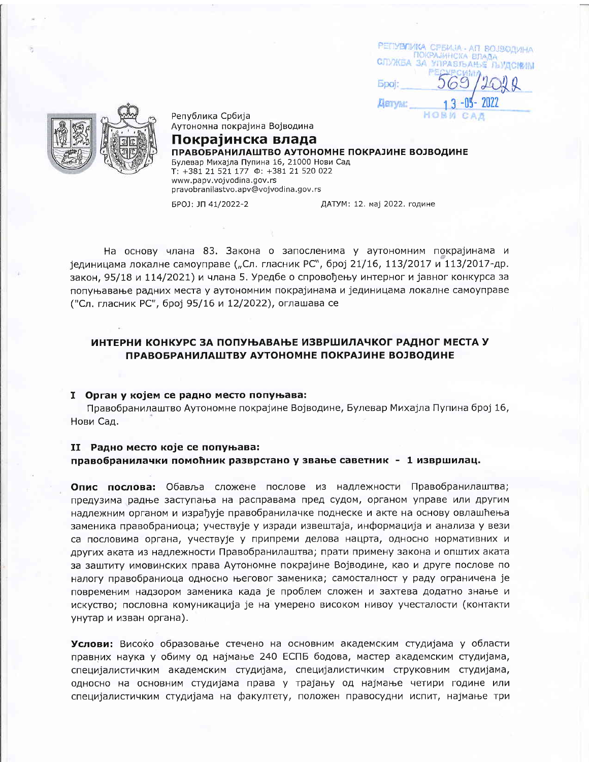РЕПУВЛИКА СРБИЈА - АП ВОЈЗОДИНА ПОКРАЗИНСКА ВЛАДА **СЛУЖБА ЗА УПРАВЉАЊЕ ЉУДСИИМ Epoi: Alarryan:** HORM 企业业



Република Србија Аутономна покрајина Војводина

Покраіинска влада ПРАВОБРАНИЛАШТВО АУТОНОМНЕ ПОКРАЈИНЕ ВОЈВОДИНЕ Булевар Михајла Пупина 16, 21000 Нови Сад T: +381 21 521 177 0: +381 21 520 022 www.papv.vojvodina.gov.rs pravobranilastvo.apv@vojvodina.gov.rs

БРОЈ: ЈП 41/2022-2

ДАТУМ: 12. мај 2022. године

На основу члана 83, Закона о запосленима у аутономним покрајинама и јединицама локалне самоуправе ("Сл. гласник РС", број 21/16, 113/2017 и 113/2017-др. закон, 95/18 и 114/2021) и члана 5. Уредбе о спровођењу интерног и јавног конкурса за попуњавање радних места у аутономним покрајинама и јединицама локалне самоуправе ("Сл. гласник РС", број 95/16 и 12/2022), оглашава се

# ИНТЕРНИ КОНКУРС ЗА ПОПУЊАВАЊЕ ИЗВРШИЛАЧКОГ РАДНОГ МЕСТА У ПРАВОБРАНИЛАШТВУ АУТОНОМНЕ ПОКРАЈИНЕ ВОЈВОДИНЕ

### I Орган у којем се радно место попуњава:

Правобранилаштво Аутономне покрајине Војводине, Булевар Михајла Пупина број 16, Нови Сад.

## II Радно место које се попуњава:

# правобранилачки помоћник разврстано у звање саветник - 1 извршилац.

Опис послова: Обавља сложене послове из надлежности Правобранилаштва; предузима радње заступања на расправама пред судом, органом управе или другим надлежним органом и израђује правобранилачке поднеске и акте на основу овлашћења заменика правобраниоца; учествује у изради извештаја, информација и анализа у вези са пословима органа, учествује у припреми делова нацрта, односно нормативних и других аката из надлежности Правобранилаштва; прати примену закона и општих аката за заштиту имовинских права Аутономне покрајине Војводине, као и друге послове по налогу правобраниоца односно његовог заменика; самосталност у раду ограничена је повременим надзором заменика када је проблем сложен и захтева додатно знање и искуство; пословна комуникација је на умерено високом нивоу учесталости (контакти унутар и изван органа).

Услови: Високо образовање стечено на основним академским студијама у области правних наука у обиму од најмање 240 ЕСПБ бодова, мастер академским студијама, специјалистичким академским студијама, специјалистичким струковним студијама, односно на основним студијама права у трајању од најмање четири године или специјалистичким студијама на факултету, положен правосудни испит, најмање три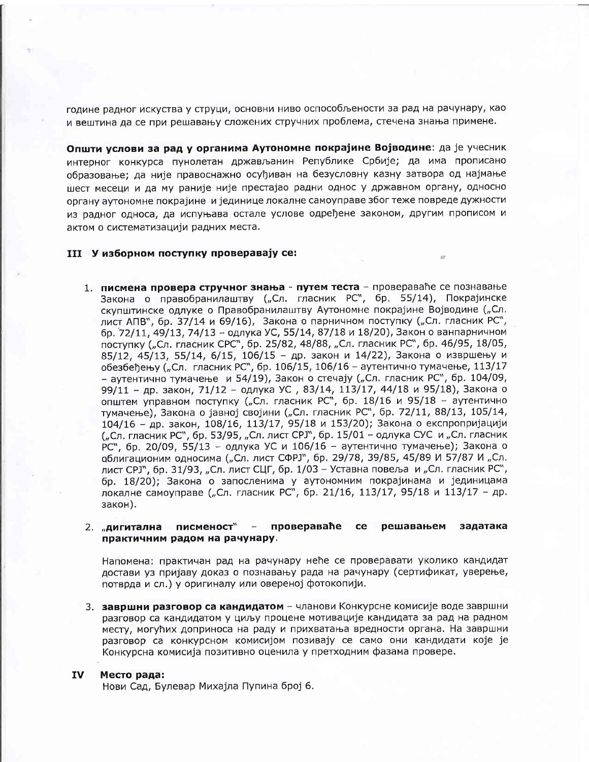године радног искуства у струци, основни ниво оспособљености за рад на рачунару, као и вештина да се при решавању сложених стручних проблема, стечена знања примене.

Општи услови за рад у органима Аутономне покрајине Војводине: да је учесник интерног конкурса пунолетан држављанин Републике Србије; да има прописано образовање; да није правоснажно осуђиван на безусловну казну затвора од најмање шест месеци и да му раније није престајао радни однос у државном органу, односно органу аутономне покрајине и јединице локалне самоуправе због теже повреде дужности из радног односа, да испуњава остале услове одређене законом, другим прописом и актом о систематизацији радних места.

### III У изборном поступку проверавају се:

1. писмена провера стручног знања - путем теста - провераваће се познавање Закона о правобранилаштву ("Сл. гласник РС", бр. 55/14), Покрајинске скупштинске одлуке о Правобранилаштву Аутономне покрајине Војводине ("Сл. лист АПВ", бр. 37/14 и 69/16), Закона о парничном поступку ("Сл. гласник РС", бр. 72/11, 49/13, 74/13 - одлука УС, 55/14, 87/18 и 18/20), Закон о ванпарничном поступку ("Сл. гласник СРС", бр. 25/82, 48/88, "Сл. гласник РС", бр. 46/95, 18/05, 85/12, 45/13, 55/14, 6/15, 106/15 - др. закон и 14/22), Закона о извршењу и обезбеђењу ("Сл. гласник РС", бр. 106/15, 106/16 - аутентично тумачење, 113/17 - аутентично тумачење и 54/19), Закон о стечају ("Сл. гласник РС", бр. 104/09, 99/11 - др. закон, 71/12 - одлука УС, 83/14, 113/17, 44/18 и 95/18), Закона о општем управном поступку ("Сл. гласник РС", бр. 18/16 и 95/18 - аутентично тумачење), Закона о јавној својини ("Сл. гласник РС", бр. 72/11, 88/13, 105/14, 104/16 - др. закон, 108/16, 113/17, 95/18 и 153/20); Закона о експропријацији ("Сл. гласник РС", бр. 53/95, "Сл. лист СРЈ", бр. 15/01 - одлука СУС и "Сл. гласник РС", бр. 20/09, 55/13 - одлука УС и 106/16 - аутентично тумачење); Закона о облигационим односима ("Сл. лист СФРЈ", бр. 29/78, 39/85, 45/89 И 57/87 И "Сл. лист СРЈ", бр. 31/93, "Сл. лист СЦГ, бр. 1/03 - Уставна повеља и "Сл. гласник РС", бр. 18/20); Закона о запосленима у аутономним покрајинама и јединицама локалне самоуправе ("Сл. гласник РС", бр. 21/16, 113/17, 95/18 и 113/17 - др. закон).

#### писменост" - провераваће 2. "дигитална ce решавањем задатака практичним радом на рачунару.

Напомена: практичан рад на рачунару неће се проверавати уколико кандидат достави уз пријаву доказ о познавању рада на рачунару (сертификат, уверење, потврда и сл.) у оригиналу или овереној фотокопији.

3. завршни разговор са кандидатом - чланови Конкурсне комисије воде завршни разговор са кандидатом у циљу процене мотивације кандидата за рад на радном месту, могућих доприноса на раду и прихватања вредности органа. На завршни разговор са конкурсном комисијом позивају се само они кандидати које је Конкурсна комисија позитивно оценила у претходним фазама провере.

#### IV Место рада:

Нови Сад, Булевар Михајла Пупина број 6.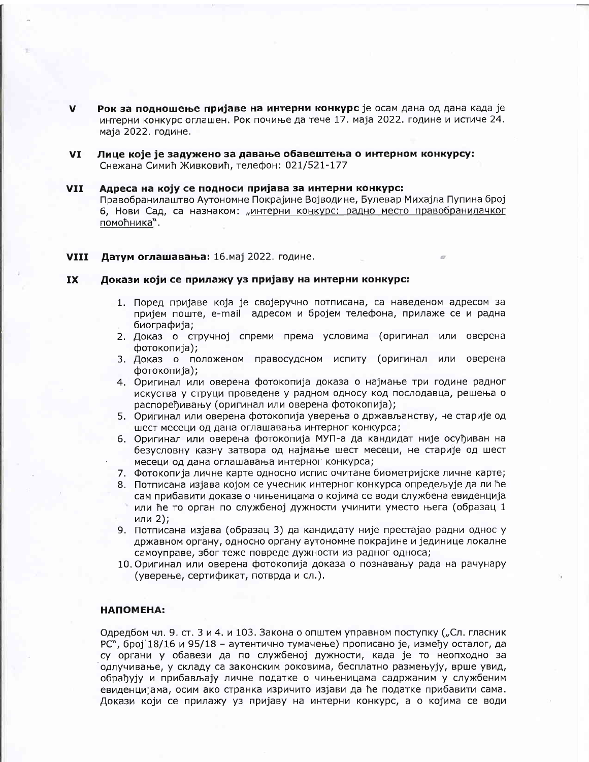- Рок за подношење пријаве на интерни конкурс је осам дана од дана када је интерни конкурс оглашен. Рок почиње да тече 17. маја 2022. године и истиче 24. маја 2022. године.
- VI Лице које је задужено за давање обавештења о интерном конкурсу: Снежана Симић Живковић, телефон: 021/521-177

#### **VII** Адреса на коју се подноси пријава за интерни конкурс:

Правобранилаштво Аутономне Покрајине Војводине, Булевар Михајла Пупина број 6, Нови Сад, са назнаком: "интерни конкурс: радно место правобранилачког помоћника".

#### **VIII** Датум оглашавања: 16. мај 2022. године.

#### **IX** Докази који се прилажу уз пријаву на интерни конкурс:

- 1. Поред пријаве која је својеручно потписана, са наведеном адресом за пријем поште, e-mail адресом и бројем телефона, прилаже се и радна биографија;
- 2. Доказ о стручној спреми према условима (оригинал или оверена фотокопија);
- 3. Доказ о положеном правосудсном испиту (оригинал или оверена фотокопија);
- 4. Оригинал или оверена фотокопија доказа о најмање три године радног искуства у струци проведене у радном односу код послодавца, решења о распоређивању (оригинал или оверена фотокопија);
- 5. Оригинал или оверена фотокопија уверења о држављанству, не старије од шест месеци од дана оглашавања интерног конкурса;
- 6. Оригинал или оверена фотокопија МУП-а да кандидат није осуђиван на безусловну казну затвора од најмање шест месеци, не старије од шест месеци од дана оглашавања интерног конкурса;
- 7. Фотокопија личне карте односно испис очитане биометријске личне карте;
- 8. Потписана изјава којом се учесник интерног конкурса опредељује да ли ће сам прибавити доказе о чињеницама о којима се води службена евиденција или ће то орган по службеној дужности учинити уместо њега (образац 1 или 2);
- 9. Потписана изјава (образац 3) да кандидату није престајао радни однос у државном органу, односно органу аутономне покрајине и јединице локалне самоуправе, због теже повреде дужности из радног односа;
- 10. Оригинал или оверена фотокопија доказа о познавању рада на рачунару (уверење, сертификат, потврда и сл.).

### НАПОМЕНА:

Одредбом чл. 9. ст. 3 и 4. и 103. Закона о општем управном поступку ("Сл. гласник РС", број 18/16 и 95/18 – аутентично тумачење) прописано је, између осталог, да су органи у обавези да по службеној дужности, када је то неопходно за одлучивање, у складу са законским роковима, бесплатно размењују, врше увид, обрађују и прибављају личне податке о чињеницама садржаним у службеним евиденцијама, осим ако странка изричито изјави да ће податке прибавити сама. Докази који се прилажу уз пријаву на интерни конкурс, а о којима се води